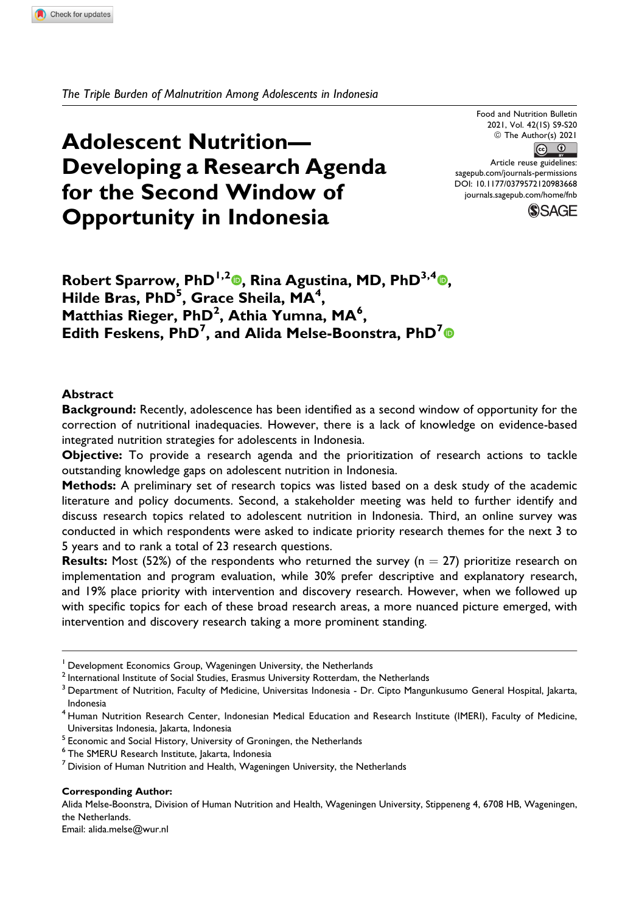*The Triple Burden of Malnutrition Among Adolescents in Indonesia*

# **Adolescent Nutrition— Developing a Research Agenda for the Second Window of Opportunity in Indonesia**

Food and Nutrition Bulletin 2021, Vol. 42(1S) S9-S20 © The Author(s) 2021  $\circ$   $\circ$ Article reuse guidelines: [sagepub.com/journals-permissions](https://sagepub.com/journals-permissions) [DOI: 10.1177/0379572120983668](https://doi.org/10.1177/0379572120983668) [journals.sagepub.com/home/fnb](http://journals.sagepub.com/home/fnb)



**Robert Sparrow, PhD1,2 [,](https://orcid.org/0000-0001-8613-0495) Rina Agustina, MD, PhD3,4 , Hilde Bras, PhD5 , Grace Sheila, MA<sup>4</sup> , Matthias Rieger, PhD<sup>2</sup> , Athia Yumna, MA<sup>6</sup> , Edith Feskens, PhD<sup>7</sup> , and Alida Melse-Boonstra, PhD<sup>7</sup>**

#### **Abstract**

**Background:** Recently, adolescence has been identified as a second window of opportunity for the correction of nutritional inadequacies. However, there is a lack of knowledge on evidence-based integrated nutrition strategies for adolescents in Indonesia.

**Objective:** To provide a research agenda and the prioritization of research actions to tackle outstanding knowledge gaps on adolescent nutrition in Indonesia.

**Methods:** A preliminary set of research topics was listed based on a desk study of the academic literature and policy documents. Second, a stakeholder meeting was held to further identify and discuss research topics related to adolescent nutrition in Indonesia. Third, an online survey was conducted in which respondents were asked to indicate priority research themes for the next 3 to 5 years and to rank a total of 23 research questions.

**Results:** Most (52%) of the respondents who returned the survey ( $n = 27$ ) prioritize research on implementation and program evaluation, while 30% prefer descriptive and explanatory research, and 19% place priority with intervention and discovery research. However, when we followed up with specific topics for each of these broad research areas, a more nuanced picture emerged, with intervention and discovery research taking a more prominent standing.

#### **Corresponding Author:**

Alida Melse-Boonstra, Division of Human Nutrition and Health, Wageningen University, Stippeneng 4, 6708 HB, Wageningen, the Netherlands.

Email: [alida.melse@wur.nl](mailto:alida.melse@wur.nl)

<sup>&</sup>lt;sup>1</sup> Development Economics Group, Wageningen University, the Netherlands

 $2$  International Institute of Social Studies, Erasmus University Rotterdam, the Netherlands

<sup>&</sup>lt;sup>3</sup> Department of Nutrition, Faculty of Medicine, Universitas Indonesia - Dr. Cipto Mangunkusumo General Hospital, Jakarta, Indonesia

<sup>&</sup>lt;sup>4</sup> Human Nutrition Research Center, Indonesian Medical Education and Research Institute (IMERI), Faculty of Medicine, Universitas Indonesia, Jakarta, Indonesia

 $<sup>5</sup>$  Economic and Social History, University of Groningen, the Netherlands</sup>

<sup>6</sup> The SMERU Research Institute, Jakarta, Indonesia

 $<sup>7</sup>$  Division of Human Nutrition and Health, Wageningen University, the Netherlands</sup>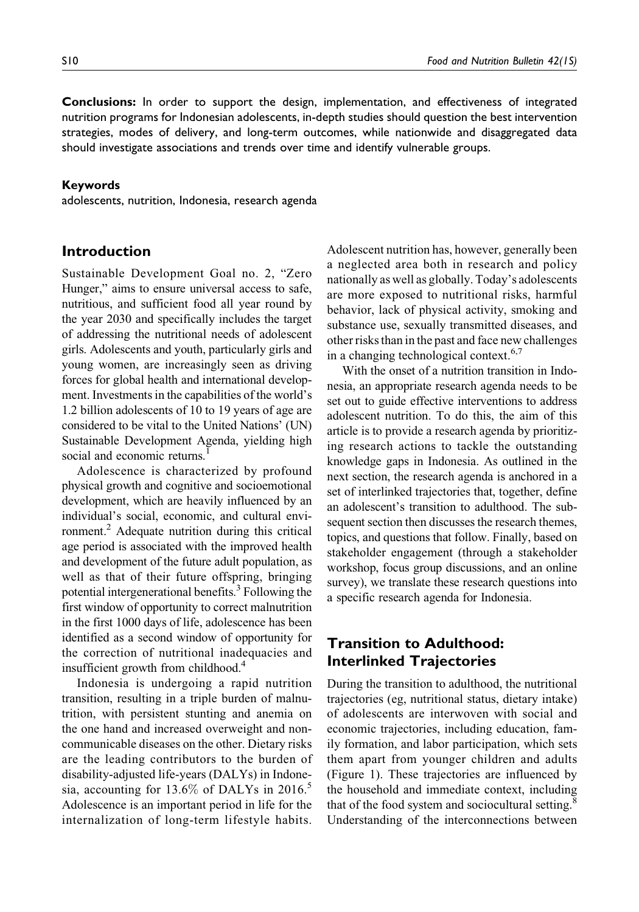**Conclusions:** In order to support the design, implementation, and effectiveness of integrated nutrition programs for Indonesian adolescents, in-depth studies should question the best intervention strategies, modes of delivery, and long-term outcomes, while nationwide and disaggregated data should investigate associations and trends over time and identify vulnerable groups.

### **Keywords**

adolescents, nutrition, Indonesia, research agenda

### **Introduction**

Sustainable Development Goal no. 2, "Zero Hunger," aims to ensure universal access to safe, nutritious, and sufficient food all year round by the year 2030 and specifically includes the target of addressing the nutritional needs of adolescent girls. Adolescents and youth, particularly girls and young women, are increasingly seen as driving forces for global health and international development. Investments in the capabilities of the world's 1.2 billion adolescents of 10 to 19 years of age are considered to be vital to the United Nations' (UN) Sustainable Development Agenda, yielding high social and economic returns.<sup>1</sup>

Adolescence is characterized by profound physical growth and cognitive and socioemotional development, which are heavily influenced by an individual's social, economic, and cultural environment.<sup>2</sup> Adequate nutrition during this critical age period is associated with the improved health and development of the future adult population, as well as that of their future offspring, bringing potential intergenerational benefits.<sup>3</sup> Following the first window of opportunity to correct malnutrition in the first 1000 days of life, adolescence has been identified as a second window of opportunity for the correction of nutritional inadequacies and insufficient growth from childhood.<sup>4</sup>

Indonesia is undergoing a rapid nutrition transition, resulting in a triple burden of malnutrition, with persistent stunting and anemia on the one hand and increased overweight and noncommunicable diseases on the other. Dietary risks are the leading contributors to the burden of disability-adjusted life-years (DALYs) in Indonesia, accounting for  $13.6\%$  of DALYs in 2016.<sup>5</sup> Adolescence is an important period in life for the internalization of long-term lifestyle habits.

Adolescent nutrition has, however, generally been a neglected area both in research and policy nationally as well as globally. Today's adolescents are more exposed to nutritional risks, harmful behavior, lack of physical activity, smoking and substance use, sexually transmitted diseases, and other risks than in the past and face new challenges in a changing technological context.<sup>6,7</sup>

With the onset of a nutrition transition in Indonesia, an appropriate research agenda needs to be set out to guide effective interventions to address adolescent nutrition. To do this, the aim of this article is to provide a research agenda by prioritizing research actions to tackle the outstanding knowledge gaps in Indonesia. As outlined in the next section, the research agenda is anchored in a set of interlinked trajectories that, together, define an adolescent's transition to adulthood. The subsequent section then discusses the research themes, topics, and questions that follow. Finally, based on stakeholder engagement (through a stakeholder workshop, focus group discussions, and an online survey), we translate these research questions into a specific research agenda for Indonesia.

# **Transition to Adulthood: Interlinked Trajectories**

During the transition to adulthood, the nutritional trajectories (eg, nutritional status, dietary intake) of adolescents are interwoven with social and economic trajectories, including education, family formation, and labor participation, which sets them apart from younger children and adults (Figure 1). These trajectories are influenced by the household and immediate context, including that of the food system and sociocultural setting.<sup>8</sup> Understanding of the interconnections between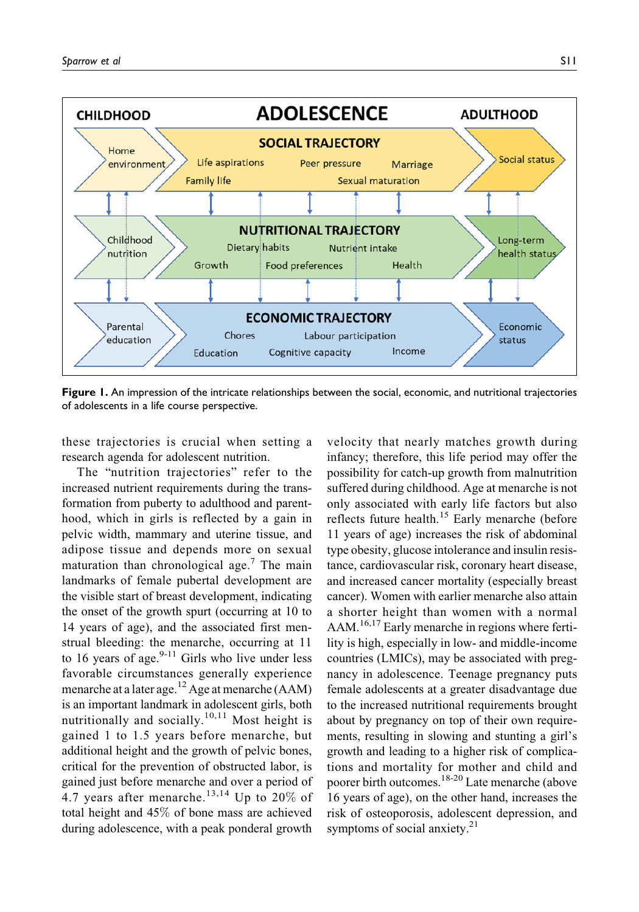

**Figure 1.** An impression of the intricate relationships between the social, economic, and nutritional trajectories of adolescents in a life course perspective.

these trajectories is crucial when setting a research agenda for adolescent nutrition.

The "nutrition trajectories" refer to the increased nutrient requirements during the transformation from puberty to adulthood and parenthood, which in girls is reflected by a gain in pelvic width, mammary and uterine tissue, and adipose tissue and depends more on sexual maturation than chronological age.<sup>7</sup> The main landmarks of female pubertal development are the visible start of breast development, indicating the onset of the growth spurt (occurring at 10 to 14 years of age), and the associated first menstrual bleeding: the menarche, occurring at 11 to 16 years of age. $9-11$  Girls who live under less favorable circumstances generally experience menarche at a later age.<sup>12</sup> Age at menarche (AAM) is an important landmark in adolescent girls, both nutritionally and socially.<sup>10,11</sup> Most height is gained 1 to 1.5 years before menarche, but additional height and the growth of pelvic bones, critical for the prevention of obstructed labor, is gained just before menarche and over a period of 4.7 years after menarche.<sup>13,14</sup> Up to 20% of total height and 45% of bone mass are achieved during adolescence, with a peak ponderal growth

velocity that nearly matches growth during infancy; therefore, this life period may offer the possibility for catch-up growth from malnutrition suffered during childhood. Age at menarche is not only associated with early life factors but also reflects future health.<sup>15</sup> Early menarche (before 11 years of age) increases the risk of abdominal type obesity, glucose intolerance and insulin resistance, cardiovascular risk, coronary heart disease, and increased cancer mortality (especially breast cancer). Women with earlier menarche also attain a shorter height than women with a normal AAM.<sup>16,17</sup> Early menarche in regions where fertility is high, especially in low- and middle-income countries (LMICs), may be associated with pregnancy in adolescence. Teenage pregnancy puts female adolescents at a greater disadvantage due to the increased nutritional requirements brought about by pregnancy on top of their own requirements, resulting in slowing and stunting a girl's growth and leading to a higher risk of complications and mortality for mother and child and poorer birth outcomes.18-20 Late menarche (above 16 years of age), on the other hand, increases the risk of osteoporosis, adolescent depression, and symptoms of social anxiety.<sup>21</sup>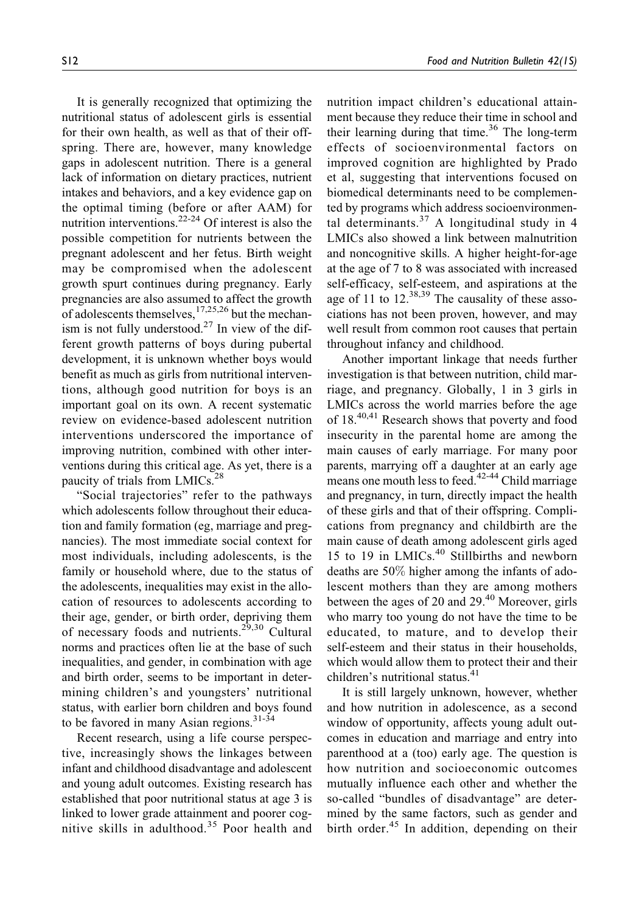It is generally recognized that optimizing the nutritional status of adolescent girls is essential for their own health, as well as that of their offspring. There are, however, many knowledge gaps in adolescent nutrition. There is a general lack of information on dietary practices, nutrient intakes and behaviors, and a key evidence gap on the optimal timing (before or after AAM) for nutrition interventions. $2^{2-24}$  Of interest is also the possible competition for nutrients between the pregnant adolescent and her fetus. Birth weight may be compromised when the adolescent growth spurt continues during pregnancy. Early pregnancies are also assumed to affect the growth of adolescents themselves,  $17,25,26$  but the mechanism is not fully understood.<sup>27</sup> In view of the different growth patterns of boys during pubertal development, it is unknown whether boys would benefit as much as girls from nutritional interventions, although good nutrition for boys is an important goal on its own. A recent systematic review on evidence-based adolescent nutrition interventions underscored the importance of improving nutrition, combined with other interventions during this critical age. As yet, there is a paucity of trials from LMICs.<sup>28</sup>

"Social trajectories" refer to the pathways which adolescents follow throughout their education and family formation (eg, marriage and pregnancies). The most immediate social context for most individuals, including adolescents, is the family or household where, due to the status of the adolescents, inequalities may exist in the allocation of resources to adolescents according to their age, gender, or birth order, depriving them of necessary foods and nutrients.<sup>29,30</sup> Cultural norms and practices often lie at the base of such inequalities, and gender, in combination with age and birth order, seems to be important in determining children's and youngsters' nutritional status, with earlier born children and boys found to be favored in many Asian regions. $31-34$ 

Recent research, using a life course perspective, increasingly shows the linkages between infant and childhood disadvantage and adolescent and young adult outcomes. Existing research has established that poor nutritional status at age 3 is linked to lower grade attainment and poorer cognitive skills in adulthood.<sup>35</sup> Poor health and nutrition impact children's educational attainment because they reduce their time in school and their learning during that time.<sup>36</sup> The long-term effects of socioenvironmental factors on improved cognition are highlighted by Prado et al, suggesting that interventions focused on biomedical determinants need to be complemented by programs which address socioenvironmental determinants. $37$  A longitudinal study in 4 LMICs also showed a link between malnutrition and noncognitive skills. A higher height-for-age at the age of 7 to 8 was associated with increased self-efficacy, self-esteem, and aspirations at the age of 11 to  $12^{38,39}$  The causality of these associations has not been proven, however, and may well result from common root causes that pertain throughout infancy and childhood.

Another important linkage that needs further investigation is that between nutrition, child marriage, and pregnancy. Globally, 1 in 3 girls in LMICs across the world marries before the age of 18.40,41 Research shows that poverty and food insecurity in the parental home are among the main causes of early marriage. For many poor parents, marrying off a daughter at an early age means one mouth less to feed.<sup>42-44</sup> Child marriage and pregnancy, in turn, directly impact the health of these girls and that of their offspring. Complications from pregnancy and childbirth are the main cause of death among adolescent girls aged 15 to 19 in LMICs.<sup>40</sup> Stillbirths and newborn deaths are 50% higher among the infants of adolescent mothers than they are among mothers between the ages of 20 and 29.<sup>40</sup> Moreover, girls who marry too young do not have the time to be educated, to mature, and to develop their self-esteem and their status in their households, which would allow them to protect their and their children's nutritional status.<sup>41</sup>

It is still largely unknown, however, whether and how nutrition in adolescence, as a second window of opportunity, affects young adult outcomes in education and marriage and entry into parenthood at a (too) early age. The question is how nutrition and socioeconomic outcomes mutually influence each other and whether the so-called "bundles of disadvantage" are determined by the same factors, such as gender and birth order.<sup>45</sup> In addition, depending on their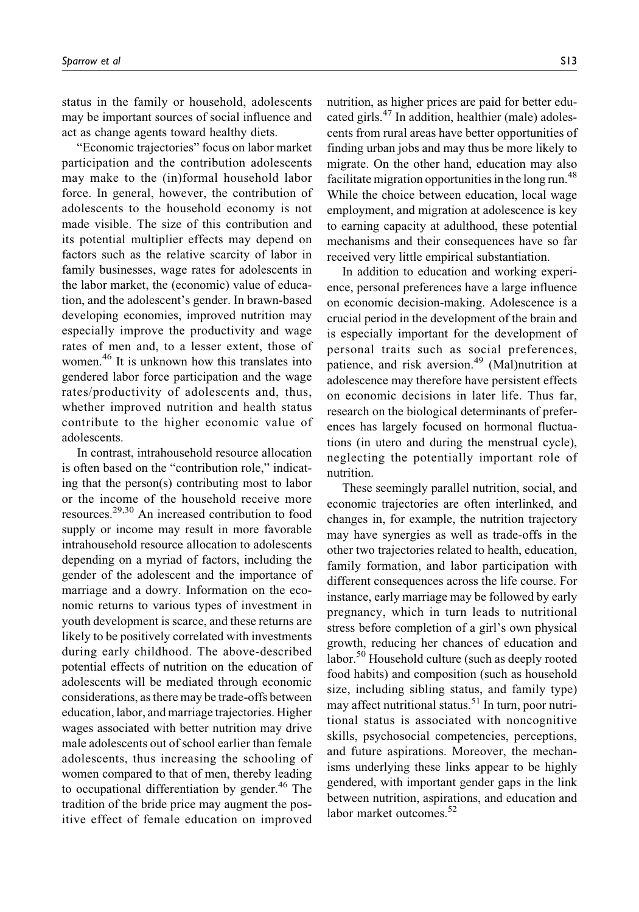status in the family or household, adolescents may be important sources of social influence and act as change agents toward healthy diets.

"Economic trajectories" focus on labor market participation and the contribution adolescents may make to the (in)formal household labor force. In general, however, the contribution of adolescents to the household economy is not made visible. The size of this contribution and its potential multiplier effects may depend on factors such as the relative scarcity of labor in family businesses, wage rates for adolescents in the labor market, the (economic) value of education, and the adolescent's gender. In brawn-based developing economies, improved nutrition may especially improve the productivity and wage rates of men and, to a lesser extent, those of women.<sup>46</sup> It is unknown how this translates into gendered labor force participation and the wage rates/productivity of adolescents and, thus, whether improved nutrition and health status contribute to the higher economic value of adolescents.

In contrast, intrahousehold resource allocation is often based on the "contribution role," indicating that the person(s) contributing most to labor or the income of the household receive more resources.29,30 An increased contribution to food supply or income may result in more favorable intrahousehold resource allocation to adolescents depending on a myriad of factors, including the gender of the adolescent and the importance of marriage and a dowry. Information on the economic returns to various types of investment in youth development is scarce, and these returns are likely to be positively correlated with investments during early childhood. The above-described potential effects of nutrition on the education of adolescents will be mediated through economic considerations, as there may be trade-offs between education, labor, and marriage trajectories. Higher wages associated with better nutrition may drive male adolescents out of school earlier than female adolescents, thus increasing the schooling of women compared to that of men, thereby leading to occupational differentiation by gender. $46$  The tradition of the bride price may augment the positive effect of female education on improved

nutrition, as higher prices are paid for better educated girls. $47$  In addition, healthier (male) adolescents from rural areas have better opportunities of finding urban jobs and may thus be more likely to migrate. On the other hand, education may also facilitate migration opportunities in the long run.<sup>48</sup> While the choice between education, local wage employment, and migration at adolescence is key to earning capacity at adulthood, these potential mechanisms and their consequences have so far received very little empirical substantiation.

In addition to education and working experience, personal preferences have a large influence on economic decision-making. Adolescence is a crucial period in the development of the brain and is especially important for the development of personal traits such as social preferences, patience, and risk aversion.<sup>49</sup> (Mal)nutrition at adolescence may therefore have persistent effects on economic decisions in later life. Thus far, research on the biological determinants of preferences has largely focused on hormonal fluctuations (in utero and during the menstrual cycle), neglecting the potentially important role of nutrition.

These seemingly parallel nutrition, social, and economic trajectories are often interlinked, and changes in, for example, the nutrition trajectory may have synergies as well as trade-offs in the other two trajectories related to health, education, family formation, and labor participation with different consequences across the life course. For instance, early marriage may be followed by early pregnancy, which in turn leads to nutritional stress before completion of a girl's own physical growth, reducing her chances of education and labor.<sup>50</sup> Household culture (such as deeply rooted food habits) and composition (such as household size, including sibling status, and family type) may affect nutritional status.<sup>51</sup> In turn, poor nutritional status is associated with noncognitive skills, psychosocial competencies, perceptions, and future aspirations. Moreover, the mechanisms underlying these links appear to be highly gendered, with important gender gaps in the link between nutrition, aspirations, and education and labor market outcomes.<sup>52</sup>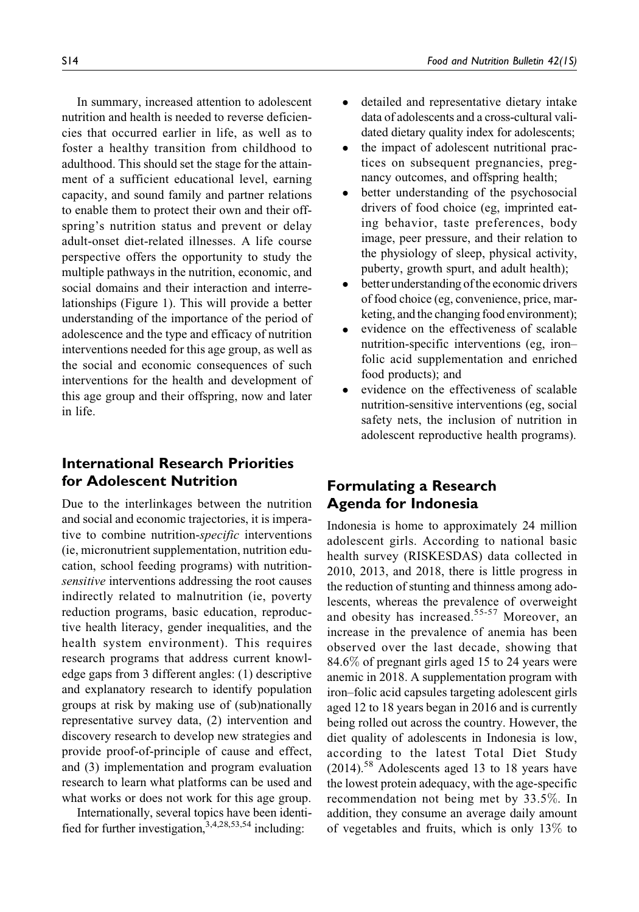In summary, increased attention to adolescent nutrition and health is needed to reverse deficiencies that occurred earlier in life, as well as to foster a healthy transition from childhood to adulthood. This should set the stage for the attainment of a sufficient educational level, earning capacity, and sound family and partner relations to enable them to protect their own and their offspring's nutrition status and prevent or delay adult-onset diet-related illnesses. A life course perspective offers the opportunity to study the multiple pathways in the nutrition, economic, and social domains and their interaction and interrelationships (Figure 1). This will provide a better understanding of the importance of the period of adolescence and the type and efficacy of nutrition interventions needed for this age group, as well as the social and economic consequences of such interventions for the health and development of this age group and their offspring, now and later in life.

# **International Research Priorities for Adolescent Nutrition**

Due to the interlinkages between the nutrition and social and economic trajectories, it is imperative to combine nutrition-specific interventions (ie, micronutrient supplementation, nutrition education, school feeding programs) with nutritionsensitive interventions addressing the root causes indirectly related to malnutrition (ie, poverty reduction programs, basic education, reproductive health literacy, gender inequalities, and the health system environment). This requires research programs that address current knowledge gaps from 3 different angles: (1) descriptive and explanatory research to identify population groups at risk by making use of (sub)nationally representative survey data, (2) intervention and discovery research to develop new strategies and provide proof-of-principle of cause and effect, and (3) implementation and program evaluation research to learn what platforms can be used and what works or does not work for this age group.

Internationally, several topics have been identified for further investigation,  $3,4,28,53,54$  including:

- $\bullet$  detailed and representative dietary intake data of adolescents and a cross-cultural validated dietary quality index for adolescents;
- $\bullet$  the impact of adolescent nutritional practices on subsequent pregnancies, pregnancy outcomes, and offspring health;
- $\bullet$  better understanding of the psychosocial drivers of food choice (eg, imprinted eating behavior, taste preferences, body image, peer pressure, and their relation to the physiology of sleep, physical activity, puberty, growth spurt, and adult health);
- $\bullet$ better understanding of the economic drivers of food choice (eg, convenience, price, marketing, and the changing food environment);
- $\bullet$  evidence on the effectiveness of scalable nutrition-specific interventions (eg, iron– folic acid supplementation and enriched food products); and
- $\bullet$  evidence on the effectiveness of scalable nutrition-sensitive interventions (eg, social safety nets, the inclusion of nutrition in adolescent reproductive health programs).

# **Formulating a Research Agenda for Indonesia**

Indonesia is home to approximately 24 million adolescent girls. According to national basic health survey (RISKESDAS) data collected in 2010, 2013, and 2018, there is little progress in the reduction of stunting and thinness among adolescents, whereas the prevalence of overweight and obesity has increased.<sup>55-57</sup> Moreover, an increase in the prevalence of anemia has been observed over the last decade, showing that 84.6% of pregnant girls aged 15 to 24 years were anemic in 2018. A supplementation program with iron–folic acid capsules targeting adolescent girls aged 12 to 18 years began in 2016 and is currently being rolled out across the country. However, the diet quality of adolescents in Indonesia is low, according to the latest Total Diet Study  $(2014)$ <sup>58</sup> Adolescents aged 13 to 18 years have the lowest protein adequacy, with the age-specific recommendation not being met by 33.5%. In addition, they consume an average daily amount of vegetables and fruits, which is only 13% to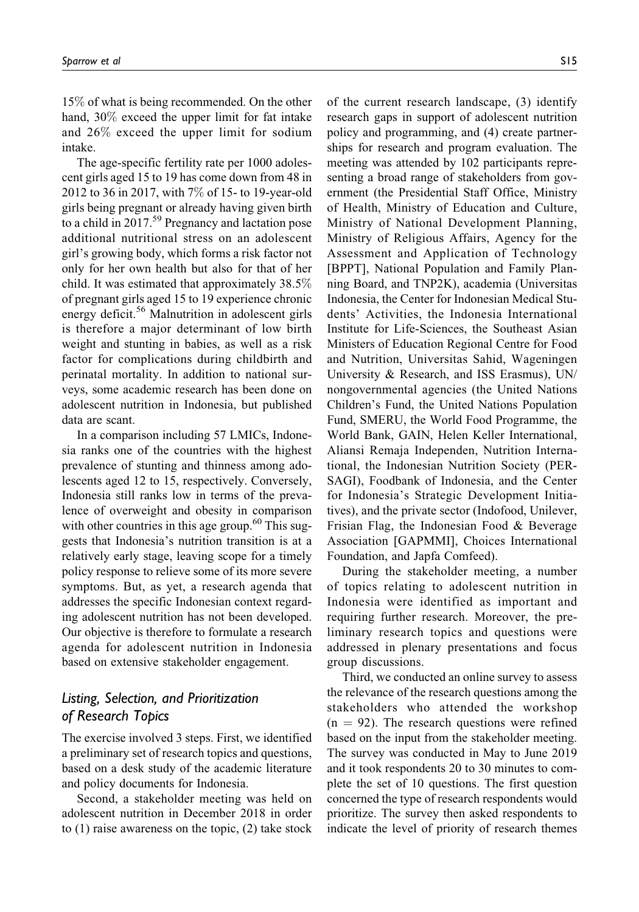15% of what is being recommended. On the other hand, 30% exceed the upper limit for fat intake and 26% exceed the upper limit for sodium intake.

The age-specific fertility rate per 1000 adolescent girls aged 15 to 19 has come down from 48 in 2012 to 36 in 2017, with 7% of 15- to 19-year-old girls being pregnant or already having given birth to a child in  $2017<sup>59</sup>$  Pregnancy and lactation pose additional nutritional stress on an adolescent girl's growing body, which forms a risk factor not only for her own health but also for that of her child. It was estimated that approximately 38.5% of pregnant girls aged 15 to 19 experience chronic energy deficit.<sup>56</sup> Malnutrition in adolescent girls is therefore a major determinant of low birth weight and stunting in babies, as well as a risk factor for complications during childbirth and perinatal mortality. In addition to national surveys, some academic research has been done on adolescent nutrition in Indonesia, but published data are scant.

In a comparison including 57 LMICs, Indonesia ranks one of the countries with the highest prevalence of stunting and thinness among adolescents aged 12 to 15, respectively. Conversely, Indonesia still ranks low in terms of the prevalence of overweight and obesity in comparison with other countries in this age group.<sup>60</sup> This suggests that Indonesia's nutrition transition is at a relatively early stage, leaving scope for a timely policy response to relieve some of its more severe symptoms. But, as yet, a research agenda that addresses the specific Indonesian context regarding adolescent nutrition has not been developed. Our objective is therefore to formulate a research agenda for adolescent nutrition in Indonesia based on extensive stakeholder engagement.

## *Listing, Selection, and Prioritization of Research Topics*

The exercise involved 3 steps. First, we identified a preliminary set of research topics and questions, based on a desk study of the academic literature and policy documents for Indonesia.

Second, a stakeholder meeting was held on adolescent nutrition in December 2018 in order to (1) raise awareness on the topic, (2) take stock of the current research landscape, (3) identify research gaps in support of adolescent nutrition policy and programming, and (4) create partnerships for research and program evaluation. The meeting was attended by 102 participants representing a broad range of stakeholders from government (the Presidential Staff Office, Ministry of Health, Ministry of Education and Culture, Ministry of National Development Planning, Ministry of Religious Affairs, Agency for the Assessment and Application of Technology [BPPT], National Population and Family Planning Board, and TNP2K), academia (Universitas Indonesia, the Center for Indonesian Medical Students' Activities, the Indonesia International Institute for Life-Sciences, the Southeast Asian Ministers of Education Regional Centre for Food and Nutrition, Universitas Sahid, Wageningen University & Research, and ISS Erasmus), UN/ nongovernmental agencies (the United Nations Children's Fund, the United Nations Population Fund, SMERU, the World Food Programme, the World Bank, GAIN, Helen Keller International, Aliansi Remaja Independen, Nutrition International, the Indonesian Nutrition Society (PER-SAGI), Foodbank of Indonesia, and the Center for Indonesia's Strategic Development Initiatives), and the private sector (Indofood, Unilever, Frisian Flag, the Indonesian Food & Beverage Association [GAPMMI], Choices International Foundation, and Japfa Comfeed).

During the stakeholder meeting, a number of topics relating to adolescent nutrition in Indonesia were identified as important and requiring further research. Moreover, the preliminary research topics and questions were addressed in plenary presentations and focus group discussions.

Third, we conducted an online survey to assess the relevance of the research questions among the stakeholders who attended the workshop  $(n = 92)$ . The research questions were refined based on the input from the stakeholder meeting. The survey was conducted in May to June 2019 and it took respondents 20 to 30 minutes to complete the set of 10 questions. The first question concerned the type of research respondents would prioritize. The survey then asked respondents to indicate the level of priority of research themes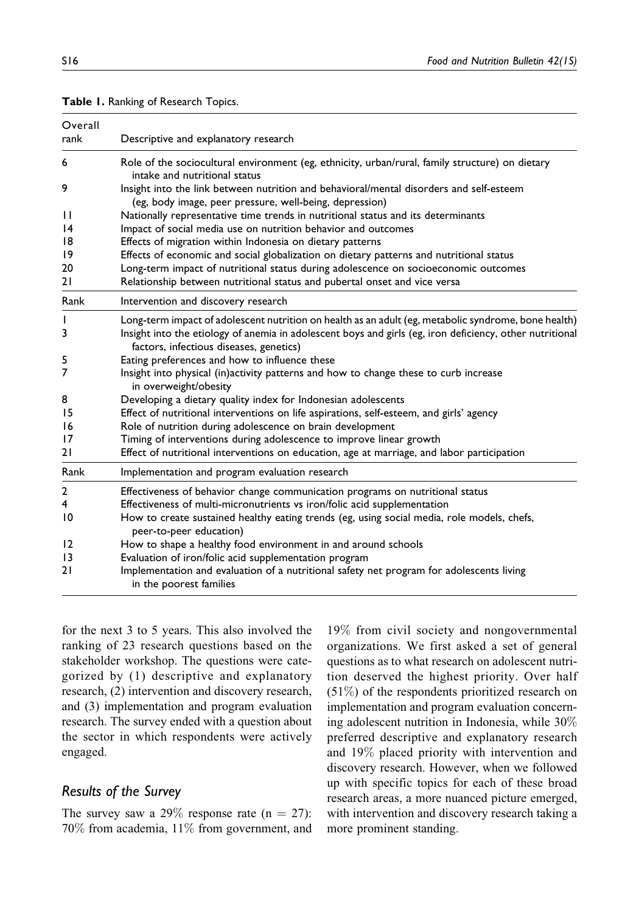| Overall<br>rank | Descriptive and explanatory research                                                                                                                |
|-----------------|-----------------------------------------------------------------------------------------------------------------------------------------------------|
| 6               | Role of the sociocultural environment (eg, ethnicity, urban/rural, family structure) on dietary<br>intake and nutritional status                    |
| 9               | Insight into the link between nutrition and behavioral/mental disorders and self-esteem<br>(eg, body image, peer pressure, well-being, depression)  |
| $\mathbf{H}$    | Nationally representative time trends in nutritional status and its determinants                                                                    |
| 14              | Impact of social media use on nutrition behavior and outcomes                                                                                       |
| 18              | Effects of migration within Indonesia on dietary patterns                                                                                           |
| 19              | Effects of economic and social globalization on dietary patterns and nutritional status                                                             |
| 20              | Long-term impact of nutritional status during adolescence on socioeconomic outcomes                                                                 |
| 21              | Relationship between nutritional status and pubertal onset and vice versa                                                                           |
| Rank            | Intervention and discovery research                                                                                                                 |
| I               | Long-term impact of adolescent nutrition on health as an adult (eg, metabolic syndrome, bone health)                                                |
| 3               | Insight into the etiology of anemia in adolescent boys and girls (eg, iron deficiency, other nutritional<br>factors, infectious diseases, genetics) |
| 5               | Eating preferences and how to influence these                                                                                                       |
| 7               | Insight into physical (in)activity patterns and how to change these to curb increase<br>in overweight/obesity                                       |
| 8               | Developing a dietary quality index for Indonesian adolescents                                                                                       |
| 15              | Effect of nutritional interventions on life aspirations, self-esteem, and girls' agency                                                             |
| 16              | Role of nutrition during adolescence on brain development                                                                                           |
| 17              | Timing of interventions during adolescence to improve linear growth                                                                                 |
| 21              | Effect of nutritional interventions on education, age at marriage, and labor participation                                                          |
| Rank            | Implementation and program evaluation research                                                                                                      |
| $\overline{2}$  | Effectiveness of behavior change communication programs on nutritional status                                                                       |
| 4               | Effectiveness of multi-micronutrients vs iron/folic acid supplementation                                                                            |
| 10              | How to create sustained healthy eating trends (eg, using social media, role models, chefs,<br>peer-to-peer education)                               |
| 12              | How to shape a healthy food environment in and around schools                                                                                       |
| $\overline{13}$ | Evaluation of iron/folic acid supplementation program                                                                                               |
| 21              | Implementation and evaluation of a nutritional safety net program for adolescents living<br>in the poorest families                                 |

#### **Table 1.** Ranking of Research Topics.

for the next 3 to 5 years. This also involved the ranking of 23 research questions based on the stakeholder workshop. The questions were categorized by (1) descriptive and explanatory research, (2) intervention and discovery research, and (3) implementation and program evaluation research. The survey ended with a question about the sector in which respondents were actively engaged.

### *Results of the Survey*

The survey saw a 29% response rate ( $n = 27$ ): 70% from academia, 11% from government, and

19% from civil society and nongovernmental organizations. We first asked a set of general questions as to what research on adolescent nutrition deserved the highest priority. Over half (51%) of the respondents prioritized research on implementation and program evaluation concerning adolescent nutrition in Indonesia, while 30% preferred descriptive and explanatory research and 19% placed priority with intervention and discovery research. However, when we followed up with specific topics for each of these broad research areas, a more nuanced picture emerged, with intervention and discovery research taking a more prominent standing.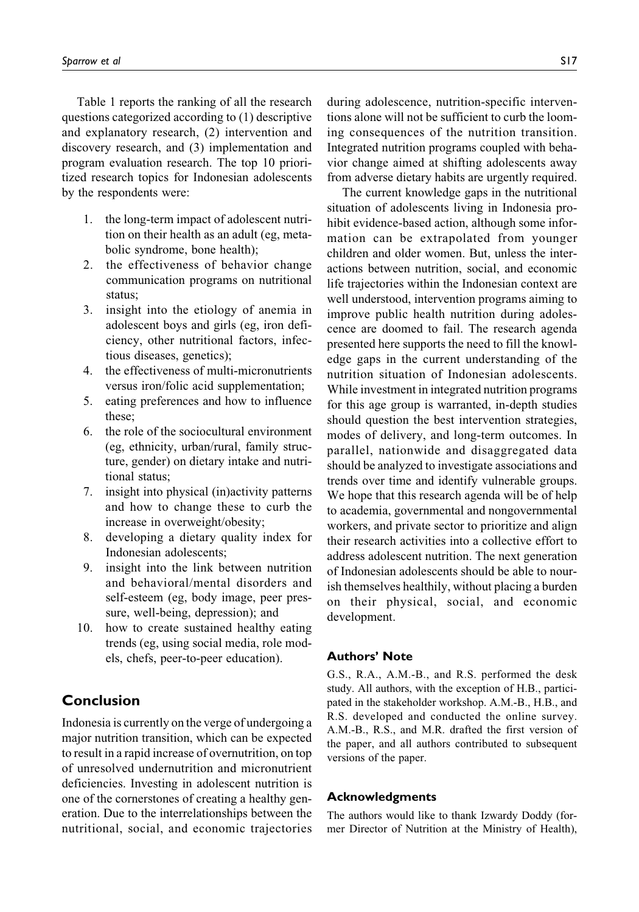Table 1 reports the ranking of all the research questions categorized according to (1) descriptive and explanatory research, (2) intervention and discovery research, and (3) implementation and program evaluation research. The top 10 prioritized research topics for Indonesian adolescents by the respondents were:

- 1. the long-term impact of adolescent nutrition on their health as an adult (eg, metabolic syndrome, bone health);
- 2. the effectiveness of behavior change communication programs on nutritional status;
- 3. insight into the etiology of anemia in adolescent boys and girls (eg, iron deficiency, other nutritional factors, infectious diseases, genetics);
- 4. the effectiveness of multi-micronutrients versus iron/folic acid supplementation;
- 5. eating preferences and how to influence these;
- 6. the role of the sociocultural environment (eg, ethnicity, urban/rural, family structure, gender) on dietary intake and nutritional status;
- 7. insight into physical (in)activity patterns and how to change these to curb the increase in overweight/obesity;
- 8. developing a dietary quality index for Indonesian adolescents;
- 9. insight into the link between nutrition and behavioral/mental disorders and self-esteem (eg, body image, peer pressure, well-being, depression); and
- 10. how to create sustained healthy eating trends (eg, using social media, role models, chefs, peer-to-peer education).

# **Conclusion**

Indonesia is currently on the verge of undergoing a major nutrition transition, which can be expected to result in a rapid increase of overnutrition, on top of unresolved undernutrition and micronutrient deficiencies. Investing in adolescent nutrition is one of the cornerstones of creating a healthy generation. Due to the interrelationships between the nutritional, social, and economic trajectories during adolescence, nutrition-specific interventions alone will not be sufficient to curb the looming consequences of the nutrition transition. Integrated nutrition programs coupled with behavior change aimed at shifting adolescents away from adverse dietary habits are urgently required.

The current knowledge gaps in the nutritional situation of adolescents living in Indonesia prohibit evidence-based action, although some information can be extrapolated from younger children and older women. But, unless the interactions between nutrition, social, and economic life trajectories within the Indonesian context are well understood, intervention programs aiming to improve public health nutrition during adolescence are doomed to fail. The research agenda presented here supports the need to fill the knowledge gaps in the current understanding of the nutrition situation of Indonesian adolescents. While investment in integrated nutrition programs for this age group is warranted, in-depth studies should question the best intervention strategies, modes of delivery, and long-term outcomes. In parallel, nationwide and disaggregated data should be analyzed to investigate associations and trends over time and identify vulnerable groups. We hope that this research agenda will be of help to academia, governmental and nongovernmental workers, and private sector to prioritize and align their research activities into a collective effort to address adolescent nutrition. The next generation of Indonesian adolescents should be able to nourish themselves healthily, without placing a burden on their physical, social, and economic development.

#### **Authors' Note**

G.S., R.A., A.M.-B., and R.S. performed the desk study. All authors, with the exception of H.B., participated in the stakeholder workshop. A.M.-B., H.B., and R.S. developed and conducted the online survey. A.M.-B., R.S., and M.R. drafted the first version of the paper, and all authors contributed to subsequent versions of the paper.

#### **Acknowledgments**

The authors would like to thank Izwardy Doddy (former Director of Nutrition at the Ministry of Health),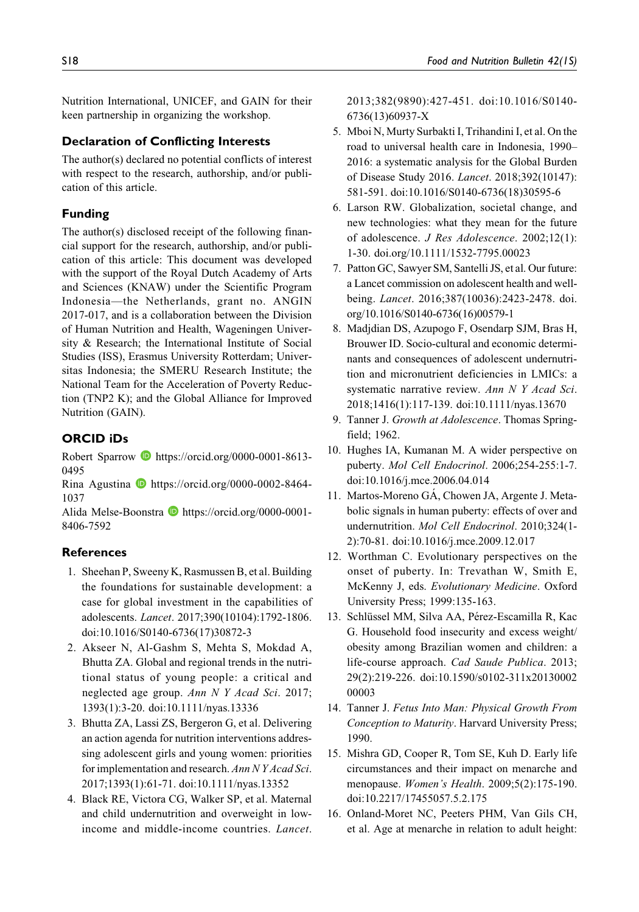Nutrition International, UNICEF, and GAIN for their keen partnership in organizing the workshop.

#### **Declaration of Conflicting Interests**

The author(s) declared no potential conflicts of interest with respect to the research, authorship, and/or publication of this article.

### **Funding**

The author(s) disclosed receipt of the following financial support for the research, authorship, and/or publication of this article: This document was developed with the support of the Royal Dutch Academy of Arts and Sciences (KNAW) under the Scientific Program Indonesia—the Netherlands, grant no. ANGIN 2017-017, and is a collaboration between the Division of Human Nutrition and Health, Wageningen University & Research; the International Institute of Social Studies (ISS), Erasmus University Rotterdam; Universitas Indonesia; the SMERU Research Institute; the National Team for the Acceleration of Poverty Reduction (TNP2 K); and the Global Alliance for Improved Nutrition (GAIN).

### **ORCID iDs**

Robert Sparrow **b** [https://orcid.org/0000-0001-8613-](https://orcid.org/0000-0001-8613-0495) [0495](https://orcid.org/0000-0001-8613-0495)

Rina Agustina [https://orcid.org/0000-0002-8464-](https://orcid.org/0000-0002-8464-1037) [1037](https://orcid.org/0000-0002-8464-1037)

Alida Melse-Boonstra [https://orcid.org/0000-0001-](https://orcid.org/0000-0001-8406-7592) [8406-7592](https://orcid.org/0000-0001-8406-7592)

#### **References**

- 1. Sheehan P, Sweeny K, Rasmussen B, et al. Building the foundations for sustainable development: a case for global investment in the capabilities of adolescents. Lancet. 2017;390(10104):1792-1806. doi:10.1016/S0140-6736(17)30872-3
- 2. Akseer N, Al-Gashm S, Mehta S, Mokdad A, Bhutta ZA. Global and regional trends in the nutritional status of young people: a critical and neglected age group. Ann N Y Acad Sci. 2017; 1393(1):3-20. doi:10.1111/nyas.13336
- 3. Bhutta ZA, Lassi ZS, Bergeron G, et al. Delivering an action agenda for nutrition interventions addressing adolescent girls and young women: priorities for implementation and research. Ann N Y Acad Sci. 2017;1393(1):61-71. doi:10.1111/nyas.13352
- 4. Black RE, Victora CG, Walker SP, et al. Maternal and child undernutrition and overweight in lowincome and middle-income countries. Lancet.

2013;382(9890):427-451. doi:10.1016/S0140- 6736(13)60937-X

- 5. Mboi N, Murty Surbakti I, Trihandini I, et al. On the road to universal health care in Indonesia, 1990– 2016: a systematic analysis for the Global Burden of Disease Study 2016. Lancet. 2018;392(10147): 581-591. doi:10.1016/S0140-6736(18)30595-6
- 6. Larson RW. Globalization, societal change, and new technologies: what they mean for the future of adolescence. J Res Adolescence. 2002;12(1): 1-30. doi.org/10.1111/1532-7795.00023
- 7. Patton GC, Sawyer SM, Santelli JS, et al. Our future: a Lancet commission on adolescent health and wellbeing. Lancet. 2016;387(10036):2423-2478. doi. org/10.1016/S0140-6736(16)00579-1
- 8. Madjdian DS, Azupogo F, Osendarp SJM, Bras H, Brouwer ID. Socio-cultural and economic determinants and consequences of adolescent undernutrition and micronutrient deficiencies in LMICs: a systematic narrative review. Ann N Y Acad Sci. 2018;1416(1):117-139. doi:10.1111/nyas.13670
- 9. Tanner J. Growth at Adolescence. Thomas Springfield; 1962.
- 10. Hughes IA, Kumanan M. A wider perspective on puberty. Mol Cell Endocrinol. 2006;254-255:1-7. doi:10.1016/j.mce.2006.04.014
- 11. Martos-Moreno GÁ, Chowen JA, Argente J. Metabolic signals in human puberty: effects of over and undernutrition. Mol Cell Endocrinol. 2010;324(1- 2):70-81. doi:10.1016/j.mce.2009.12.017
- 12. Worthman C. Evolutionary perspectives on the onset of puberty. In: Trevathan W, Smith E, McKenny J, eds. Evolutionary Medicine. Oxford University Press; 1999:135-163.
- 13. Schlüssel MM, Silva AA, Pérez-Escamilla R, Kac G. Household food insecurity and excess weight/ obesity among Brazilian women and children: a life-course approach. Cad Saude Publica. 2013; 29(2):219-226. doi:10.1590/s0102-311x20130002 00003
- 14. Tanner J. Fetus Into Man: Physical Growth From Conception to Maturity. Harvard University Press; 1990.
- 15. Mishra GD, Cooper R, Tom SE, Kuh D. Early life circumstances and their impact on menarche and menopause. Women's Health. 2009;5(2):175-190. doi:10.2217/17455057.5.2.175
- 16. Onland-Moret NC, Peeters PHM, Van Gils CH, et al. Age at menarche in relation to adult height: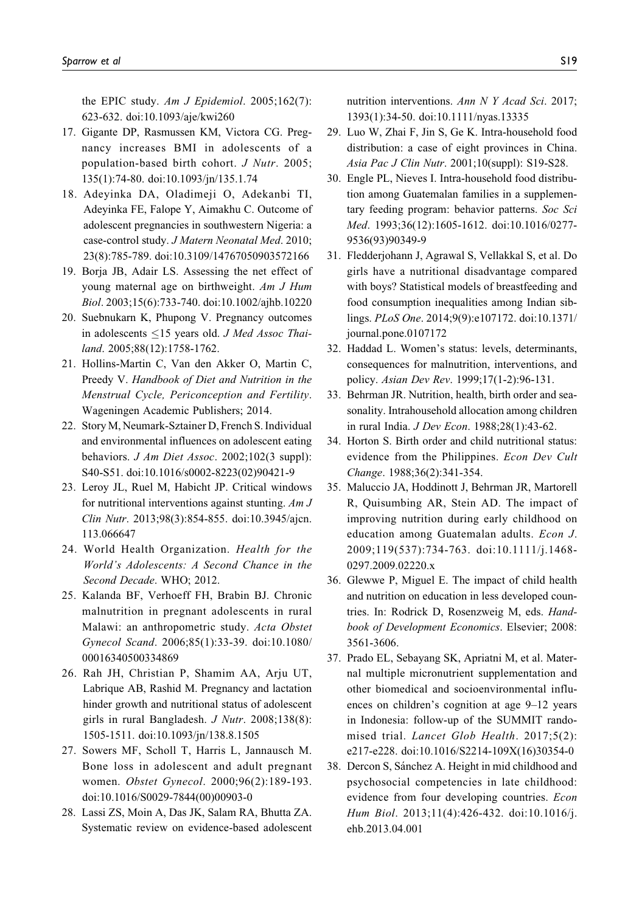the EPIC study. Am J Epidemiol.  $2005;162(7)$ : 623-632. doi:10.1093/aje/kwi260

- 17. Gigante DP, Rasmussen KM, Victora CG. Pregnancy increases BMI in adolescents of a population-based birth cohort. J Nutr. 2005; 135(1):74-80. doi:10.1093/jn/135.1.74
- 18. Adeyinka DA, Oladimeji O, Adekanbi TI, Adeyinka FE, Falope Y, Aimakhu C. Outcome of adolescent pregnancies in southwestern Nigeria: a case-control study. J Matern Neonatal Med. 2010; 23(8):785-789. doi:10.3109/14767050903572166
- 19. Borja JB, Adair LS. Assessing the net effect of young maternal age on birthweight. Am J Hum Biol. 2003;15(6):733-740. doi:10.1002/ajhb.10220
- 20. Suebnukarn K, Phupong V. Pregnancy outcomes in adolescents  $\leq$ 15 years old. J Med Assoc Thailand. 2005;88(12):1758-1762.
- 21. Hollins-Martin C, Van den Akker O, Martin C, Preedy V. Handbook of Diet and Nutrition in the Menstrual Cycle, Periconception and Fertility. Wageningen Academic Publishers; 2014.
- 22. Story M, Neumark-Sztainer D, French S. Individual and environmental influences on adolescent eating behaviors. J Am Diet Assoc. 2002;102(3 suppl): S40-S51. doi:10.1016/s0002-8223(02)90421-9
- 23. Leroy JL, Ruel M, Habicht JP. Critical windows for nutritional interventions against stunting.  $AmJ$ Clin Nutr. 2013;98(3):854-855. doi:10.3945/ajcn. 113.066647
- 24. World Health Organization. Health for the World's Adolescents: A Second Chance in the Second Decade. WHO; 2012.
- 25. Kalanda BF, Verhoeff FH, Brabin BJ. Chronic malnutrition in pregnant adolescents in rural Malawi: an anthropometric study. Acta Obstet Gynecol Scand. 2006;85(1):33-39. doi:10.1080/ 00016340500334869
- 26. Rah JH, Christian P, Shamim AA, Arju UT, Labrique AB, Rashid M. Pregnancy and lactation hinder growth and nutritional status of adolescent girls in rural Bangladesh. J Nutr. 2008;138(8): 1505-1511. doi:10.1093/jn/138.8.1505
- 27. Sowers MF, Scholl T, Harris L, Jannausch M. Bone loss in adolescent and adult pregnant women. Obstet Gynecol. 2000;96(2):189-193. doi:10.1016/S0029-7844(00)00903-0
- 28. Lassi ZS, Moin A, Das JK, Salam RA, Bhutta ZA. Systematic review on evidence-based adolescent

nutrition interventions. Ann N Y Acad Sci. 2017; 1393(1):34-50. doi:10.1111/nyas.13335

- 29. Luo W, Zhai F, Jin S, Ge K. Intra-household food distribution: a case of eight provinces in China. Asia Pac J Clin Nutr. 2001;10(suppl): S19-S28.
- 30. Engle PL, Nieves I. Intra-household food distribution among Guatemalan families in a supplementary feeding program: behavior patterns. Soc Sci Med. 1993;36(12):1605-1612. doi:10.1016/0277- 9536(93)90349-9
- 31. Fledderjohann J, Agrawal S, Vellakkal S, et al. Do girls have a nutritional disadvantage compared with boys? Statistical models of breastfeeding and food consumption inequalities among Indian siblings. PLoS One. 2014;9(9):e107172. doi:10.1371/ journal.pone.0107172
- 32. Haddad L. Women's status: levels, determinants, consequences for malnutrition, interventions, and policy. Asian Dev Rev. 1999;17(1-2):96-131.
- 33. Behrman JR. Nutrition, health, birth order and seasonality. Intrahousehold allocation among children in rural India. J Dev Econ. 1988;28(1):43-62.
- 34. Horton S. Birth order and child nutritional status: evidence from the Philippines. Econ Dev Cult Change. 1988;36(2):341-354.
- 35. Maluccio JA, Hoddinott J, Behrman JR, Martorell R, Quisumbing AR, Stein AD. The impact of improving nutrition during early childhood on education among Guatemalan adults. Econ J. 2009;119(537):734-763. doi:10.1111/j.1468- 0297.2009.02220.x
- 36. Glewwe P, Miguel E. The impact of child health and nutrition on education in less developed countries. In: Rodrick D, Rosenzweig M, eds. Handbook of Development Economics. Elsevier; 2008: 3561-3606.
- 37. Prado EL, Sebayang SK, Apriatni M, et al. Maternal multiple micronutrient supplementation and other biomedical and socioenvironmental influences on children's cognition at age 9–12 years in Indonesia: follow-up of the SUMMIT randomised trial. Lancet Glob Health. 2017;5(2): e217-e228. doi:10.1016/S2214-109X(16)30354-0
- 38. Dercon S, Sánchez A. Height in mid childhood and psychosocial competencies in late childhood: evidence from four developing countries. Econ Hum Biol. 2013;11(4):426-432. doi:10.1016/j. ehb.2013.04.001